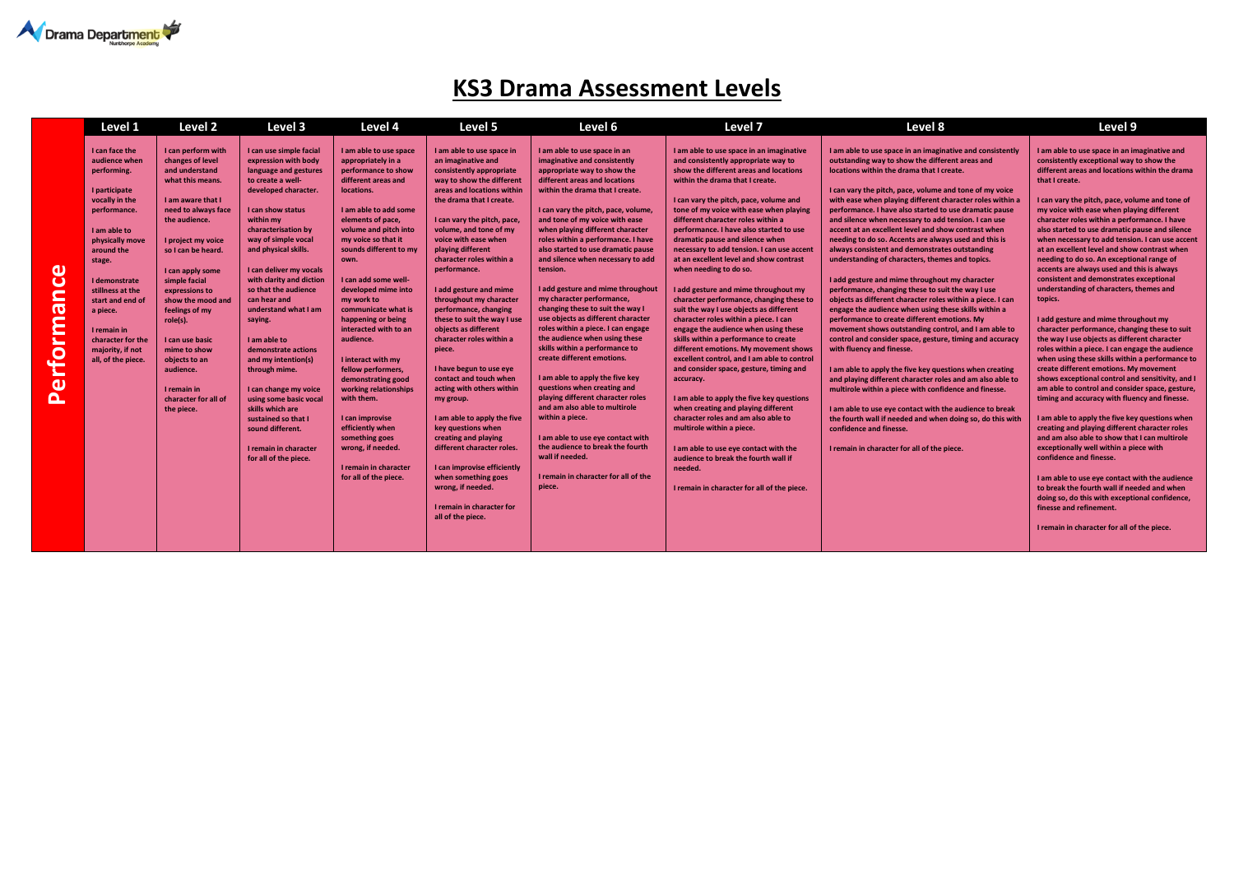

## **KS3 Drama Assessment Levels**

|                                                                                                                                                     | Level 1                                                                                                                                                                                                                                                                                                         | Level 2                                                                                                                                                                                                                                                                                                                                                                                                               | Level 3                                                                                                                                                                                                                                                                                                                                                                                                                                                                                                                                                                                                            | Level 4                                                                                                                                                                                                                                                                                                                                                                                                                                                                                                                                                                                                                           | Level 5                                                                                                                                                                                                                                                                                                                                                                                                                                                                                                                                                                                                                                                                                                                                                                                                                                | Level 6                                                                                                                                                                                                                                                                                                                                                                                                                                                                                                                                                                                                                                                                                                                                                                                                                                                                                                                                                                                               | Level 7                                                                                                                                                                                                                                                                                                                                                                                                                                                                                                                                                                                                                                                                                                                                                                                                                                                                                                                                                                                                                                                                                                                                                                                              | Level 8                                                                                                                                                                                                                                                                                                                                                                                                                                                                                                                                                                                                                                                                                                                                                                                                                                                                                                                                                                                                                                                                                                                                                                                                                                                                                                                                                                                                                                   | Level 9                                                                                                                                                                                                                                                                                                                                                                                                                                                                                                                                                                                                                                                                                                                                                                                                                                                                                                                                                                                                                                                                                                                                                                                                                                                                                                                                                                                                                                                                                                                                                              |
|-----------------------------------------------------------------------------------------------------------------------------------------------------|-----------------------------------------------------------------------------------------------------------------------------------------------------------------------------------------------------------------------------------------------------------------------------------------------------------------|-----------------------------------------------------------------------------------------------------------------------------------------------------------------------------------------------------------------------------------------------------------------------------------------------------------------------------------------------------------------------------------------------------------------------|--------------------------------------------------------------------------------------------------------------------------------------------------------------------------------------------------------------------------------------------------------------------------------------------------------------------------------------------------------------------------------------------------------------------------------------------------------------------------------------------------------------------------------------------------------------------------------------------------------------------|-----------------------------------------------------------------------------------------------------------------------------------------------------------------------------------------------------------------------------------------------------------------------------------------------------------------------------------------------------------------------------------------------------------------------------------------------------------------------------------------------------------------------------------------------------------------------------------------------------------------------------------|----------------------------------------------------------------------------------------------------------------------------------------------------------------------------------------------------------------------------------------------------------------------------------------------------------------------------------------------------------------------------------------------------------------------------------------------------------------------------------------------------------------------------------------------------------------------------------------------------------------------------------------------------------------------------------------------------------------------------------------------------------------------------------------------------------------------------------------|-------------------------------------------------------------------------------------------------------------------------------------------------------------------------------------------------------------------------------------------------------------------------------------------------------------------------------------------------------------------------------------------------------------------------------------------------------------------------------------------------------------------------------------------------------------------------------------------------------------------------------------------------------------------------------------------------------------------------------------------------------------------------------------------------------------------------------------------------------------------------------------------------------------------------------------------------------------------------------------------------------|------------------------------------------------------------------------------------------------------------------------------------------------------------------------------------------------------------------------------------------------------------------------------------------------------------------------------------------------------------------------------------------------------------------------------------------------------------------------------------------------------------------------------------------------------------------------------------------------------------------------------------------------------------------------------------------------------------------------------------------------------------------------------------------------------------------------------------------------------------------------------------------------------------------------------------------------------------------------------------------------------------------------------------------------------------------------------------------------------------------------------------------------------------------------------------------------------|-------------------------------------------------------------------------------------------------------------------------------------------------------------------------------------------------------------------------------------------------------------------------------------------------------------------------------------------------------------------------------------------------------------------------------------------------------------------------------------------------------------------------------------------------------------------------------------------------------------------------------------------------------------------------------------------------------------------------------------------------------------------------------------------------------------------------------------------------------------------------------------------------------------------------------------------------------------------------------------------------------------------------------------------------------------------------------------------------------------------------------------------------------------------------------------------------------------------------------------------------------------------------------------------------------------------------------------------------------------------------------------------------------------------------------------------|----------------------------------------------------------------------------------------------------------------------------------------------------------------------------------------------------------------------------------------------------------------------------------------------------------------------------------------------------------------------------------------------------------------------------------------------------------------------------------------------------------------------------------------------------------------------------------------------------------------------------------------------------------------------------------------------------------------------------------------------------------------------------------------------------------------------------------------------------------------------------------------------------------------------------------------------------------------------------------------------------------------------------------------------------------------------------------------------------------------------------------------------------------------------------------------------------------------------------------------------------------------------------------------------------------------------------------------------------------------------------------------------------------------------------------------------------------------------------------------------------------------------------------------------------------------------|
| $\mathbf \omega$<br>$\overline{\mathbf{C}}$<br>$\blacksquare$<br>ര<br>Ë<br>►<br>$\overline{\mathbf{c}}$<br>►<br>$\omega$<br>$\overline{\mathbf{o}}$ | I can face the<br>audience when<br>performing.<br>I participate<br>vocally in the<br>performance.<br>I am able to<br>physically move<br>around the<br>stage.<br>I demonstrate<br>stillness at the<br>start and end of<br>a piece.<br>I remain in<br>character for the<br>majority, if not<br>all, of the piece. | I can perform with<br>changes of level<br>and understand<br>what this means.<br>I am aware that I<br>need to always face<br>the audience.<br>I project my voice<br>so I can be heard.<br>I can apply some<br>simple facial<br>expressions to<br>show the mood and<br>feelings of my<br>role(s).<br>I can use basic<br>mime to show<br>objects to an<br>audience.<br>I remain in<br>character for all of<br>the piece. | I can use simple facial<br>expression with body<br>language and gestures<br>to create a well-<br>developed character.<br>I can show status<br>within my<br>characterisation by<br>way of simple vocal<br>and physical skills.<br>I can deliver my vocals<br>with clarity and diction<br>so that the audience<br>can hear and<br>understand what I am<br>saying.<br>I am able to<br>demonstrate actions<br>and my intention(s)<br>through mime.<br>I can change my voice<br>using some basic vocal<br>skills which are<br>sustained so that I<br>sound different.<br>I remain in character<br>for all of the piece. | I am able to use space<br>appropriately in a<br>performance to show<br>different areas and<br>locations.<br>I am able to add some<br>elements of pace,<br>volume and pitch into<br>my voice so that it<br>sounds different to my<br>own.<br>I can add some well-<br>developed mime into<br>my work to<br>communicate what is<br>happening or being<br>interacted with to an<br>audience.<br>I interact with my<br>fellow performers,<br>demonstrating good<br>working relationships<br>with them.<br>I can improvise<br>efficiently when<br>something goes<br>wrong, if needed.<br>I remain in character<br>for all of the piece. | I am able to use space in<br>an imaginative and<br>consistently appropriate<br>way to show the different<br>areas and locations within<br>the drama that I create.<br>I can vary the pitch, pace,<br>volume, and tone of my<br>voice with ease when<br>playing different<br>character roles within a<br>performance.<br>I add gesture and mime<br>throughout my character<br>performance, changing<br>these to suit the way I use<br>objects as different<br>character roles within a<br>piece.<br>I have begun to use eye<br>contact and touch when<br>acting with others within<br>my group.<br>I am able to apply the five<br>key questions when<br>creating and playing<br>different character roles.<br>I can improvise efficiently<br>when something goes<br>wrong, if needed.<br>I remain in character for<br>all of the piece. | I am able to use space in an<br>imaginative and consistently<br>appropriate way to show the<br>different areas and locations<br>within the drama that I create.<br>I can vary the pitch, pace, volume,<br>and tone of my voice with ease<br>when playing different character<br>roles within a performance. I have<br>also started to use dramatic pause<br>and silence when necessary to add<br>tension.<br>I add gesture and mime throughout<br>my character performance,<br>changing these to suit the way I<br>use objects as different character<br>roles within a piece. I can engage<br>the audience when using these<br>skills within a performance to<br>create different emotions.<br>I am able to apply the five key<br>questions when creating and<br>playing different character roles<br>and am also able to multirole<br>within a piece.<br>I am able to use eve contact with<br>the audience to break the fourth<br>wall if needed.<br>I remain in character for all of the<br>piece. | I am able to use space in an imaginative<br>and consistently appropriate way to<br>show the different areas and locations<br>within the drama that I create.<br>I can vary the pitch, pace, volume and<br>tone of my voice with ease when playing<br>different character roles within a<br>performance. I have also started to use<br>dramatic pause and silence when<br>necessary to add tension. I can use accent<br>at an excellent level and show contrast<br>when needing to do so.<br>I add gesture and mime throughout my<br>character performance, changing these to<br>suit the way I use objects as different<br>character roles within a piece. I can<br>engage the audience when using these<br>skills within a performance to create<br>different emotions. My movement shows<br>excellent control, and I am able to control<br>and consider space, gesture, timing and<br>accuracy.<br>I am able to apply the five key questions<br>when creating and playing different<br>character roles and am also able to<br>multirole within a piece.<br>I am able to use eye contact with the<br>audience to break the fourth wall if<br>needed.<br>I remain in character for all of the piece. | I am able to use space in an imaginative and consistently<br>outstanding way to show the different areas and<br>locations within the drama that I create.<br>I can vary the pitch, pace, volume and tone of my voice<br>with ease when playing different character roles within a<br>performance. I have also started to use dramatic pause<br>and silence when necessary to add tension. I can use<br>accent at an excellent level and show contrast when<br>needing to do so. Accents are always used and this is<br>always consistent and demonstrates outstanding<br>understanding of characters, themes and topics.<br>I add gesture and mime throughout my character<br>performance, changing these to suit the way I use<br>objects as different character roles within a piece. I can<br>engage the audience when using these skills within a<br>performance to create different emotions. My<br>movement shows outstanding control, and I am able to<br>control and consider space, gesture, timing and accuracy<br>with fluency and finesse.<br>I am able to apply the five key questions when creating<br>and playing different character roles and am also able to<br>multirole within a piece with confidence and finesse.<br>I am able to use eye contact with the audience to break<br>the fourth wall if needed and when doing so, do this with<br>confidence and finesse.<br>I remain in character for all of the piece. | I am able to use space in an imaginative and<br>consistently exceptional way to show the<br>different areas and locations within the drama<br>that I create.<br>I can vary the pitch, pace, volume and tone of<br>my voice with ease when playing different<br>character roles within a performance. I have<br>also started to use dramatic pause and silence<br>when necessary to add tension. I can use accent<br>at an excellent level and show contrast when<br>needing to do so. An exceptional range of<br>accents are always used and this is always<br>consistent and demonstrates exceptional<br>understanding of characters, themes and<br>topics.<br>I add gesture and mime throughout my<br>character performance, changing these to suit<br>the way I use objects as different character<br>roles within a piece. I can engage the audience<br>when using these skills within a performance to<br>create different emotions. My movement<br>shows exceptional control and sensitivity, and I<br>am able to control and consider space, gesture,<br>timing and accuracy with fluency and finesse.<br>I am able to apply the five key questions when<br>creating and playing different character roles<br>and am also able to show that I can multirole<br>exceptionally well within a piece with<br>confidence and finesse.<br>I am able to use eye contact with the audience<br>to break the fourth wall if needed and when<br>doing so, do this with exceptional confidence,<br>finesse and refinement.<br>I remain in character for all of the piece. |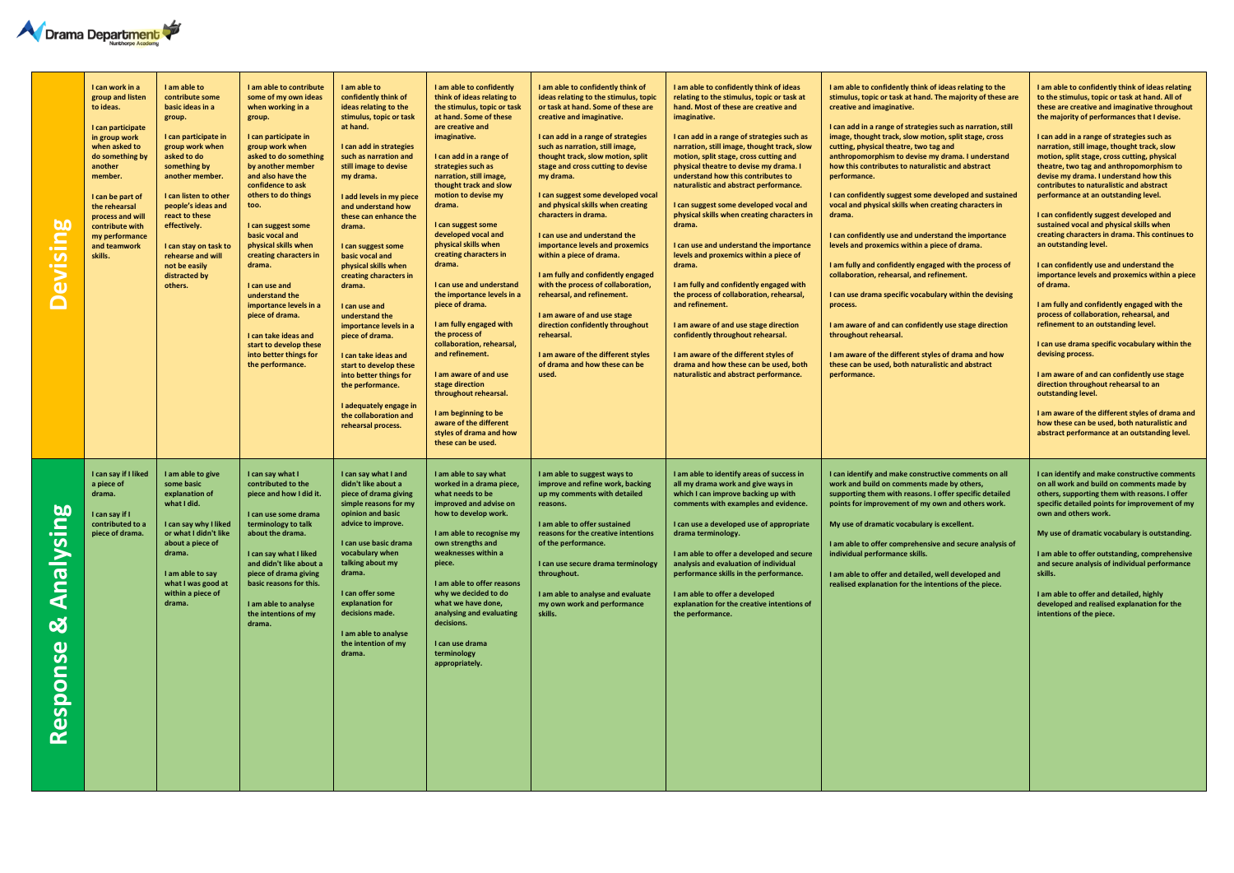

| <b>Devising</b>                   | I can work in a<br>group and listen<br>to ideas.<br>I can participate<br>in group work<br>when asked to<br>do something by<br>another<br>member.<br>I can be part of<br>the rehearsal<br>process and will<br>contribute with<br>my performance<br>and teamwork<br>skills. | I am able to<br>contribute some<br>basic ideas in a<br>group.<br>I can participate in<br>group work when<br>asked to do<br>something by<br>another member.<br>I can listen to other<br>people's ideas and<br>react to these<br>effectively.<br>I can stay on task to<br>rehearse and will<br>not be easily<br>distracted by<br>others. | I am able to contribute<br>some of my own ideas<br>when working in a<br>group.<br>I can participate in<br>group work when<br>asked to do something<br>by another member<br>and also have the<br>confidence to ask<br>others to do things<br>too.<br>I can suggest some<br>basic vocal and<br>physical skills when<br>creating characters in<br>drama.<br>I can use and<br>understand the<br>importance levels in a<br>piece of drama.<br>I can take ideas and<br>start to develop these<br>into better things for<br>the performance. | I am able to<br>confidently think of<br>ideas relating to the<br>stimulus, topic or task<br>at hand.<br>I can add in strategies<br>such as narration and<br>still image to devise<br>my drama.<br>I add levels in my piece<br>and understand how<br>these can enhance the<br>drama.<br>I can suggest some<br>basic vocal and<br>physical skills when<br>creating characters in<br>drama.<br>I can use and<br>understand the<br>importance levels in a<br>piece of drama.<br>I can take ideas and<br>start to develop these<br>into better things for<br>the performance.<br>I adequately engage in<br>the collaboration and<br>rehearsal process. | I am able to confidently<br>think of ideas relating to<br>the stimulus, topic or task<br>at hand. Some of these<br>are creative and<br>imaginative.<br>I can add in a range of<br>strategies such as<br>narration, still image,<br>thought track and slow<br>motion to devise my<br>drama.<br>I can suggest some<br>developed vocal and<br>physical skills when<br>creating characters in<br>drama.<br>I can use and understand<br>the importance levels in a<br>piece of drama.<br>I am fully engaged with<br>the process of<br>collaboration, rehearsal,<br>and refinement.<br>I am aware of and use<br>stage direction<br>throughout rehearsal.<br>I am beginning to be<br>aware of the different<br>styles of drama and how<br>these can be used. | I am able to confidently think of<br>ideas relating to the stimulus, topic<br>or task at hand. Some of these are<br>creative and imaginative.<br>I can add in a range of strategies<br>such as narration, still image,<br>thought track, slow motion, split<br>stage and cross cutting to devise<br>my drama.<br>I can suggest some developed vocal<br>and physical skills when creating<br>characters in drama.<br>I can use and understand the<br>importance levels and proxemics<br>within a piece of drama.<br>I am fully and confidently engaged<br>with the process of collaboration,<br>rehearsal, and refinement.<br>I am aware of and use stage<br>direction confidently throughout<br>rehearsal.<br>I am aware of the different styles<br>of drama and how these can be<br>used. | I am able to confidently think of ideas<br>relating to the stimulus, topic or task at<br>hand. Most of these are creative and<br>imaginative.<br>I can add in a range of strategies such as<br>narration, still image, thought track, slow<br>motion, split stage, cross cutting and<br>physical theatre to devise my drama. I<br>understand how this contributes to<br>naturalistic and abstract performance.<br>I can suggest some developed vocal and<br>physical skills when creating characters in<br>drama.<br>I can use and understand the importance<br>levels and proxemics within a piece of<br>drama.<br>I am fully and confidently engaged with<br>the process of collaboration, rehearsal,<br>and refinement.<br>I am aware of and use stage direction<br>confidently throughout rehearsal.<br>I am aware of the different styles of<br>drama and how these can be used, both<br>naturalistic and abstract performance. | I am able to confidently think of ideas relating to the<br>stimulus, topic or task at hand. The majority of these are<br>creative and imaginative.<br>I can add in a range of strategies such as narration, still<br>image, thought track, slow motion, split stage, cross<br>cutting, physical theatre, two tag and<br>anthropomorphism to devise my drama. I understand<br>how this contributes to naturalistic and abstract<br>performance.<br>I can confidently suggest some developed and sustained<br>vocal and physical skills when creating characters in<br>drama.<br>I can confidently use and understand the importance<br>levels and proxemics within a piece of drama.<br>I am fully and confidently engaged with the process of<br>collaboration, rehearsal, and refinement.<br>I can use drama specific vocabulary within the devising<br>process.<br>I am aware of and can confidently use stage direction<br>throughout rehearsal.<br>I am aware of the different styles of drama and how<br>these can be used, both naturalistic and abstract<br>performance. | I am able to confidently think of ideas relating<br>to the stimulus, topic or task at hand. All of<br>these are creative and imaginative throughout<br>the majority of performances that I devise.<br>I can add in a range of strategies such as<br>narration, still image, thought track, slow<br>motion, split stage, cross cutting, physical<br>theatre, two tag and anthropomorphism to<br>devise my drama. I understand how this<br>contributes to naturalistic and abstract<br>performance at an outstanding level.<br>I can confidently suggest developed and<br>sustained vocal and physical skills when<br>creating characters in drama. This continues to<br>an outstanding level.<br>I can confidently use and understand the<br>importance levels and proxemics within a piece<br>of drama.<br>I am fully and confidently engaged with the<br>process of collaboration, rehearsal, and<br>refinement to an outstanding level.<br>I can use drama specific vocabulary within the<br>devising process.<br>I am aware of and can confidently use stage<br>direction throughout rehearsal to an<br>outstanding level.<br>I am aware of the different styles of drama and<br>how these can be used, both naturalistic and<br>abstract performance at an outstanding level. |
|-----------------------------------|---------------------------------------------------------------------------------------------------------------------------------------------------------------------------------------------------------------------------------------------------------------------------|----------------------------------------------------------------------------------------------------------------------------------------------------------------------------------------------------------------------------------------------------------------------------------------------------------------------------------------|---------------------------------------------------------------------------------------------------------------------------------------------------------------------------------------------------------------------------------------------------------------------------------------------------------------------------------------------------------------------------------------------------------------------------------------------------------------------------------------------------------------------------------------|---------------------------------------------------------------------------------------------------------------------------------------------------------------------------------------------------------------------------------------------------------------------------------------------------------------------------------------------------------------------------------------------------------------------------------------------------------------------------------------------------------------------------------------------------------------------------------------------------------------------------------------------------|-------------------------------------------------------------------------------------------------------------------------------------------------------------------------------------------------------------------------------------------------------------------------------------------------------------------------------------------------------------------------------------------------------------------------------------------------------------------------------------------------------------------------------------------------------------------------------------------------------------------------------------------------------------------------------------------------------------------------------------------------------|--------------------------------------------------------------------------------------------------------------------------------------------------------------------------------------------------------------------------------------------------------------------------------------------------------------------------------------------------------------------------------------------------------------------------------------------------------------------------------------------------------------------------------------------------------------------------------------------------------------------------------------------------------------------------------------------------------------------------------------------------------------------------------------------|--------------------------------------------------------------------------------------------------------------------------------------------------------------------------------------------------------------------------------------------------------------------------------------------------------------------------------------------------------------------------------------------------------------------------------------------------------------------------------------------------------------------------------------------------------------------------------------------------------------------------------------------------------------------------------------------------------------------------------------------------------------------------------------------------------------------------------------------------------------------------------------------------------------------------------------|---------------------------------------------------------------------------------------------------------------------------------------------------------------------------------------------------------------------------------------------------------------------------------------------------------------------------------------------------------------------------------------------------------------------------------------------------------------------------------------------------------------------------------------------------------------------------------------------------------------------------------------------------------------------------------------------------------------------------------------------------------------------------------------------------------------------------------------------------------------------------------------------------------------------------------------------------------------------------------------------------------------------------------------------------------------------------------|-----------------------------------------------------------------------------------------------------------------------------------------------------------------------------------------------------------------------------------------------------------------------------------------------------------------------------------------------------------------------------------------------------------------------------------------------------------------------------------------------------------------------------------------------------------------------------------------------------------------------------------------------------------------------------------------------------------------------------------------------------------------------------------------------------------------------------------------------------------------------------------------------------------------------------------------------------------------------------------------------------------------------------------------------------------------------------------------------------------------------------------------------------------------------------------------------------------------------------------------------------------------------------------|
| Analysing<br><u>ර</u><br>Response | I can say if I liked<br>a piece of<br>drama.<br>I can sav if I<br>contributed to a<br>piece of drama.                                                                                                                                                                     | I am able to give<br>some basic<br>explanation of<br>what I did.<br>I can say why I liked<br>or what I didn't like<br>about a piece of<br>drama.<br>I am able to say<br>what I was good at<br>within a piece of<br>drama.                                                                                                              | can say what I<br>contributed to the<br>piece and how I did it.<br>I can use some drama<br>terminology to talk<br>about the drama.<br>I can say what I liked<br>and didn't like about a<br>piece of drama giving<br>basic reasons for this.<br>I am able to analyse<br>the intentions of my<br>drama.                                                                                                                                                                                                                                 | I can say what I and<br>didn't like about a<br>piece of drama giving<br>simple reasons for my<br>opinion and basic<br>advice to improve.<br>I can use basic drama<br>vocabulary when<br>talking about my<br>drama.<br>I can offer some<br>explanation for<br>decisions made.<br>I am able to analyse<br>the intention of my<br>drama.                                                                                                                                                                                                                                                                                                             | I am able to say what<br>worked in a drama piece,<br>what needs to be<br>improved and advise on<br>how to develop work.<br>I am able to recognise my<br>own strengths and<br>weaknesses within a<br>piece.<br>I am able to offer reasons<br>why we decided to do<br>what we have done,<br>analysing and evaluating<br>decisions.<br>I can use drama<br>terminology<br>appropriately.                                                                                                                                                                                                                                                                                                                                                                  | I am able to suggest ways to<br>improve and refine work, backing<br>up my comments with detailed<br>reasons.<br>I am able to offer sustained<br>reasons for the creative intentions<br>of the performance.<br>I can use secure drama terminology<br>throughout.<br>I am able to analyse and evaluate<br>my own work and performance<br>skills.                                                                                                                                                                                                                                                                                                                                                                                                                                             | I am able to identify areas of success in<br>all my drama work and give ways in<br>which I can improve backing up with<br>comments with examples and evidence.<br>I can use a developed use of appropriate<br>drama terminology.<br>I am able to offer a developed and secure<br>analysis and evaluation of individual<br>performance skills in the performance.<br>I am able to offer a developed<br>explanation for the creative intentions of<br>the performance.                                                                                                                                                                                                                                                                                                                                                                                                                                                                 | I can identify and make constructive comments on all<br>work and build on comments made by others,<br>supporting them with reasons. I offer specific detailed<br>points for improvement of my own and others work.<br>My use of dramatic vocabulary is excellent.<br>I am able to offer comprehensive and secure analysis of<br>individual performance skills.<br>I am able to offer and detailed, well developed and<br>realised explanation for the intentions of the piece.                                                                                                                                                                                                                                                                                                                                                                                                                                                                                                                                                                                                  | I can identify and make constructive comments<br>on all work and build on comments made by<br>others, supporting them with reasons. I offer<br>specific detailed points for improvement of my<br>own and others work.<br>My use of dramatic vocabulary is outstanding.<br>I am able to offer outstanding, comprehensive<br>and secure analysis of individual performance<br>skills.<br>I am able to offer and detailed, highly<br>developed and realised explanation for the<br>intentions of the piece.                                                                                                                                                                                                                                                                                                                                                                                                                                                                                                                                                                                                                                                                                                                                                                          |